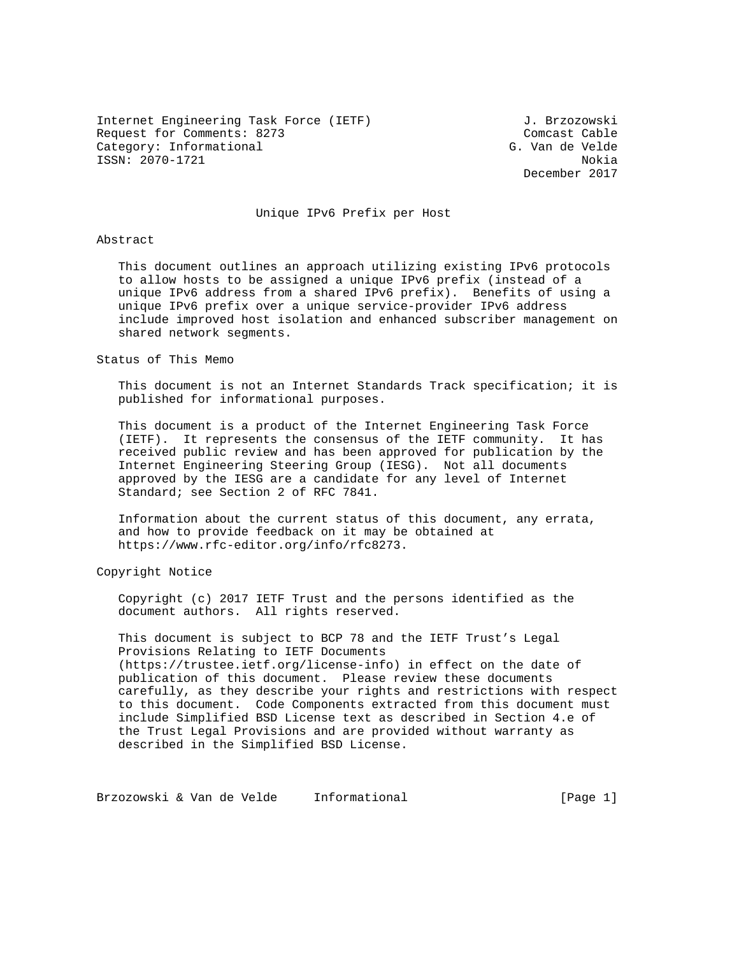Internet Engineering Task Force (IETF) J. Brzozowski Request for Comments: 8273 Comcast Cable Category: Informational G. Van de Velde ISSN: 2070-1721 Nokia

December 2017

# Unique IPv6 Prefix per Host

### Abstract

 This document outlines an approach utilizing existing IPv6 protocols to allow hosts to be assigned a unique IPv6 prefix (instead of a unique IPv6 address from a shared IPv6 prefix). Benefits of using a unique IPv6 prefix over a unique service-provider IPv6 address include improved host isolation and enhanced subscriber management on shared network segments.

#### Status of This Memo

 This document is not an Internet Standards Track specification; it is published for informational purposes.

 This document is a product of the Internet Engineering Task Force (IETF). It represents the consensus of the IETF community. It has received public review and has been approved for publication by the Internet Engineering Steering Group (IESG). Not all documents approved by the IESG are a candidate for any level of Internet Standard; see Section 2 of RFC 7841.

 Information about the current status of this document, any errata, and how to provide feedback on it may be obtained at https://www.rfc-editor.org/info/rfc8273.

Copyright Notice

 Copyright (c) 2017 IETF Trust and the persons identified as the document authors. All rights reserved.

 This document is subject to BCP 78 and the IETF Trust's Legal Provisions Relating to IETF Documents (https://trustee.ietf.org/license-info) in effect on the date of publication of this document. Please review these documents carefully, as they describe your rights and restrictions with respect to this document. Code Components extracted from this document must include Simplified BSD License text as described in Section 4.e of the Trust Legal Provisions and are provided without warranty as described in the Simplified BSD License.

Brzozowski & Van de Velde Informational (Page 1)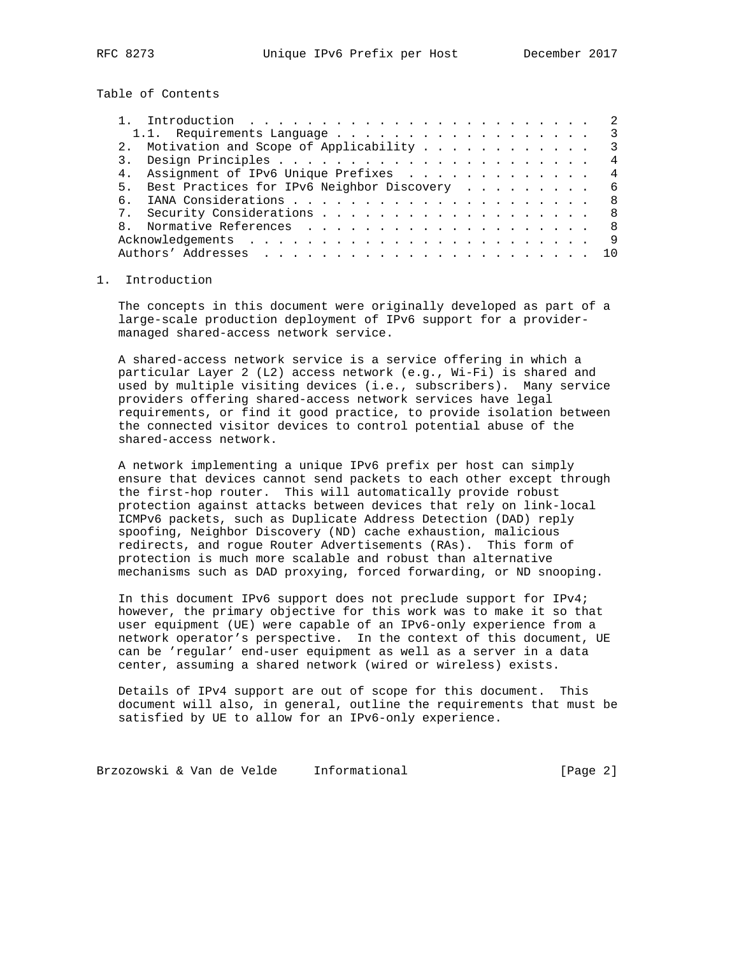Table of Contents

|     | $\overline{\mathbf{3}}$                         |
|-----|-------------------------------------------------|
|     | 2. Motivation and Scope of Applicability 3      |
|     | 4                                               |
|     | 4. Assignment of IPv6 Unique Prefixes<br>4      |
|     | 5. Best Practices for IPv6 Neighbor Discovery 6 |
| რ — | - 8                                             |
|     | 7. Security Considerations 8                    |
|     |                                                 |
|     | -9                                              |
|     |                                                 |

## 1. Introduction

 The concepts in this document were originally developed as part of a large-scale production deployment of IPv6 support for a provider managed shared-access network service.

 A shared-access network service is a service offering in which a particular Layer 2 (L2) access network (e.g., Wi-Fi) is shared and used by multiple visiting devices (i.e., subscribers). Many service providers offering shared-access network services have legal requirements, or find it good practice, to provide isolation between the connected visitor devices to control potential abuse of the shared-access network.

 A network implementing a unique IPv6 prefix per host can simply ensure that devices cannot send packets to each other except through the first-hop router. This will automatically provide robust protection against attacks between devices that rely on link-local ICMPv6 packets, such as Duplicate Address Detection (DAD) reply spoofing, Neighbor Discovery (ND) cache exhaustion, malicious redirects, and rogue Router Advertisements (RAs). This form of protection is much more scalable and robust than alternative mechanisms such as DAD proxying, forced forwarding, or ND snooping.

 In this document IPv6 support does not preclude support for IPv4; however, the primary objective for this work was to make it so that user equipment (UE) were capable of an IPv6-only experience from a network operator's perspective. In the context of this document, UE can be 'regular' end-user equipment as well as a server in a data center, assuming a shared network (wired or wireless) exists.

 Details of IPv4 support are out of scope for this document. This document will also, in general, outline the requirements that must be satisfied by UE to allow for an IPv6-only experience.

Brzozowski & Van de Velde Informational (Page 2)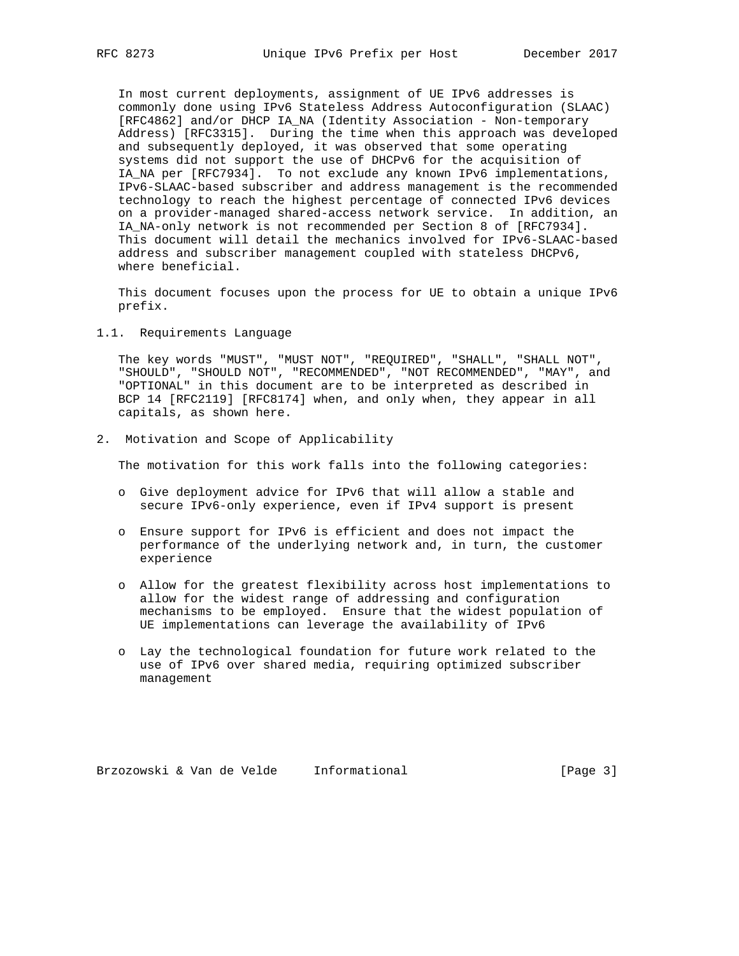In most current deployments, assignment of UE IPv6 addresses is commonly done using IPv6 Stateless Address Autoconfiguration (SLAAC) [RFC4862] and/or DHCP IA\_NA (Identity Association - Non-temporary Address) [RFC3315]. During the time when this approach was developed and subsequently deployed, it was observed that some operating systems did not support the use of DHCPv6 for the acquisition of IA\_NA per [RFC7934]. To not exclude any known IPv6 implementations, IPv6-SLAAC-based subscriber and address management is the recommended technology to reach the highest percentage of connected IPv6 devices on a provider-managed shared-access network service. In addition, an IA\_NA-only network is not recommended per Section 8 of [RFC7934]. This document will detail the mechanics involved for IPv6-SLAAC-based address and subscriber management coupled with stateless DHCPv6, where beneficial.

 This document focuses upon the process for UE to obtain a unique IPv6 prefix.

1.1. Requirements Language

 The key words "MUST", "MUST NOT", "REQUIRED", "SHALL", "SHALL NOT", "SHOULD", "SHOULD NOT", "RECOMMENDED", "NOT RECOMMENDED", "MAY", and "OPTIONAL" in this document are to be interpreted as described in BCP 14 [RFC2119] [RFC8174] when, and only when, they appear in all capitals, as shown here.

2. Motivation and Scope of Applicability

The motivation for this work falls into the following categories:

- o Give deployment advice for IPv6 that will allow a stable and secure IPv6-only experience, even if IPv4 support is present
- o Ensure support for IPv6 is efficient and does not impact the performance of the underlying network and, in turn, the customer experience
- o Allow for the greatest flexibility across host implementations to allow for the widest range of addressing and configuration mechanisms to be employed. Ensure that the widest population of UE implementations can leverage the availability of IPv6
- o Lay the technological foundation for future work related to the use of IPv6 over shared media, requiring optimized subscriber management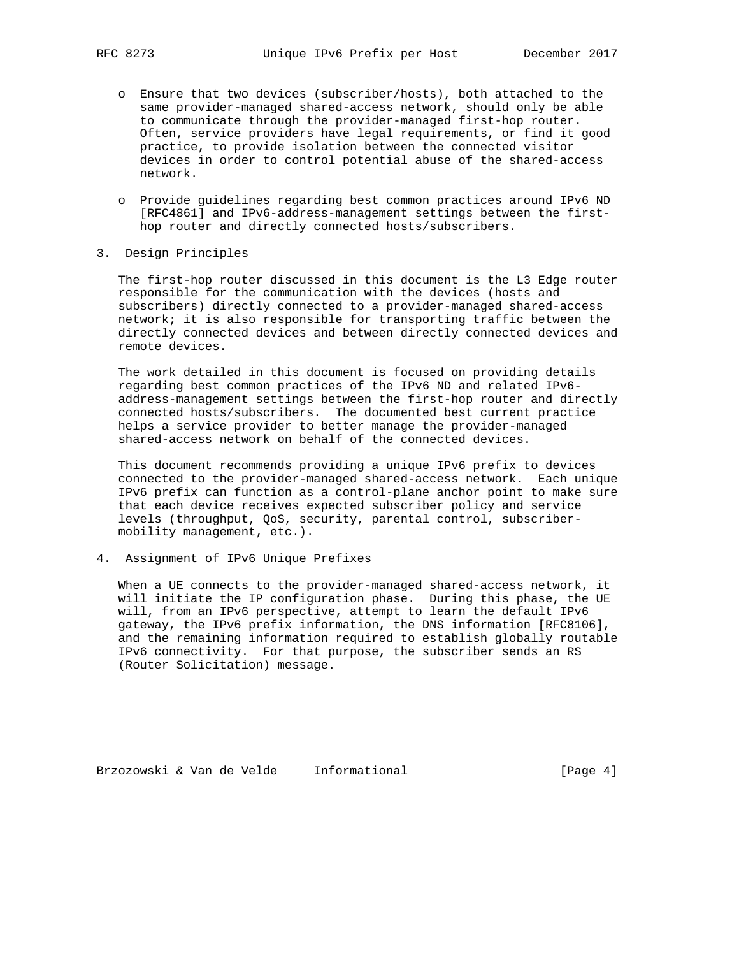- o Ensure that two devices (subscriber/hosts), both attached to the same provider-managed shared-access network, should only be able to communicate through the provider-managed first-hop router. Often, service providers have legal requirements, or find it good practice, to provide isolation between the connected visitor devices in order to control potential abuse of the shared-access network.
- o Provide guidelines regarding best common practices around IPv6 ND [RFC4861] and IPv6-address-management settings between the first hop router and directly connected hosts/subscribers.
- 3. Design Principles

 The first-hop router discussed in this document is the L3 Edge router responsible for the communication with the devices (hosts and subscribers) directly connected to a provider-managed shared-access network; it is also responsible for transporting traffic between the directly connected devices and between directly connected devices and remote devices.

 The work detailed in this document is focused on providing details regarding best common practices of the IPv6 ND and related IPv6 address-management settings between the first-hop router and directly connected hosts/subscribers. The documented best current practice helps a service provider to better manage the provider-managed shared-access network on behalf of the connected devices.

 This document recommends providing a unique IPv6 prefix to devices connected to the provider-managed shared-access network. Each unique IPv6 prefix can function as a control-plane anchor point to make sure that each device receives expected subscriber policy and service levels (throughput, QoS, security, parental control, subscriber mobility management, etc.).

4. Assignment of IPv6 Unique Prefixes

 When a UE connects to the provider-managed shared-access network, it will initiate the IP configuration phase. During this phase, the UE will, from an IPv6 perspective, attempt to learn the default IPv6 gateway, the IPv6 prefix information, the DNS information [RFC8106], and the remaining information required to establish globally routable IPv6 connectivity. For that purpose, the subscriber sends an RS (Router Solicitation) message.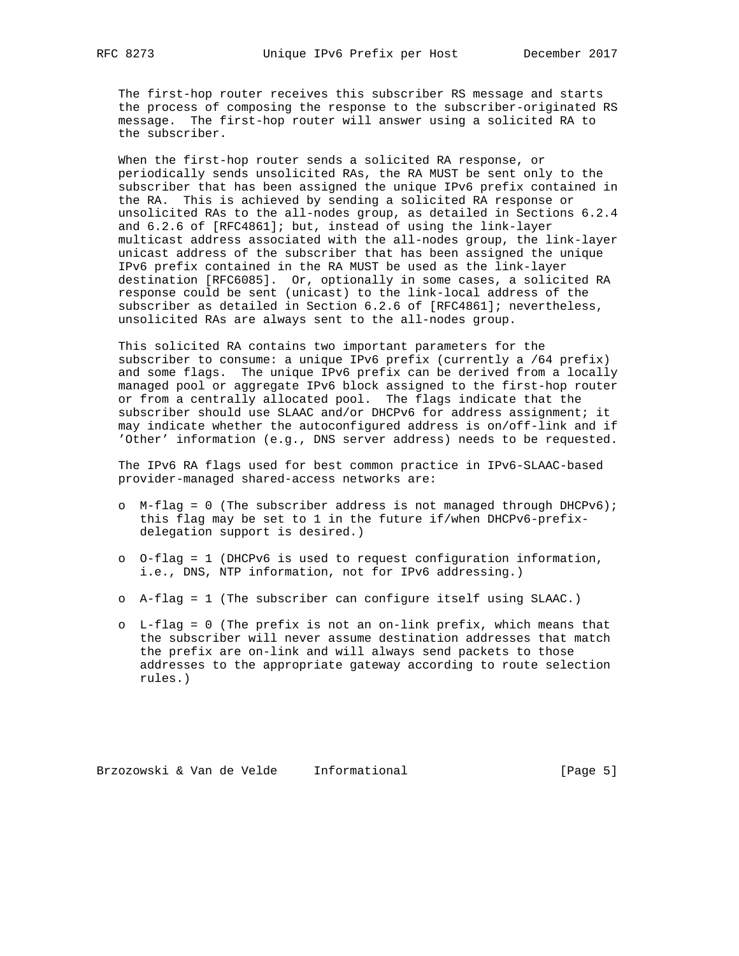The first-hop router receives this subscriber RS message and starts the process of composing the response to the subscriber-originated RS message. The first-hop router will answer using a solicited RA to the subscriber.

 When the first-hop router sends a solicited RA response, or periodically sends unsolicited RAs, the RA MUST be sent only to the subscriber that has been assigned the unique IPv6 prefix contained in the RA. This is achieved by sending a solicited RA response or unsolicited RAs to the all-nodes group, as detailed in Sections 6.2.4 and 6.2.6 of [RFC4861]; but, instead of using the link-layer multicast address associated with the all-nodes group, the link-layer unicast address of the subscriber that has been assigned the unique IPv6 prefix contained in the RA MUST be used as the link-layer destination [RFC6085]. Or, optionally in some cases, a solicited RA response could be sent (unicast) to the link-local address of the subscriber as detailed in Section 6.2.6 of [RFC4861]; nevertheless, unsolicited RAs are always sent to the all-nodes group.

 This solicited RA contains two important parameters for the subscriber to consume: a unique IPv6 prefix (currently a /64 prefix) and some flags. The unique IPv6 prefix can be derived from a locally managed pool or aggregate IPv6 block assigned to the first-hop router or from a centrally allocated pool. The flags indicate that the subscriber should use SLAAC and/or DHCPv6 for address assignment; it may indicate whether the autoconfigured address is on/off-link and if 'Other' information (e.g., DNS server address) needs to be requested.

 The IPv6 RA flags used for best common practice in IPv6-SLAAC-based provider-managed shared-access networks are:

- o M-flag = 0 (The subscriber address is not managed through DHCPv6); this flag may be set to 1 in the future if/when DHCPv6-prefix delegation support is desired.)
- o O-flag = 1 (DHCPv6 is used to request configuration information, i.e., DNS, NTP information, not for IPv6 addressing.)
- o A-flag = 1 (The subscriber can configure itself using SLAAC.)
- o L-flag = 0 (The prefix is not an on-link prefix, which means that the subscriber will never assume destination addresses that match the prefix are on-link and will always send packets to those addresses to the appropriate gateway according to route selection rules.)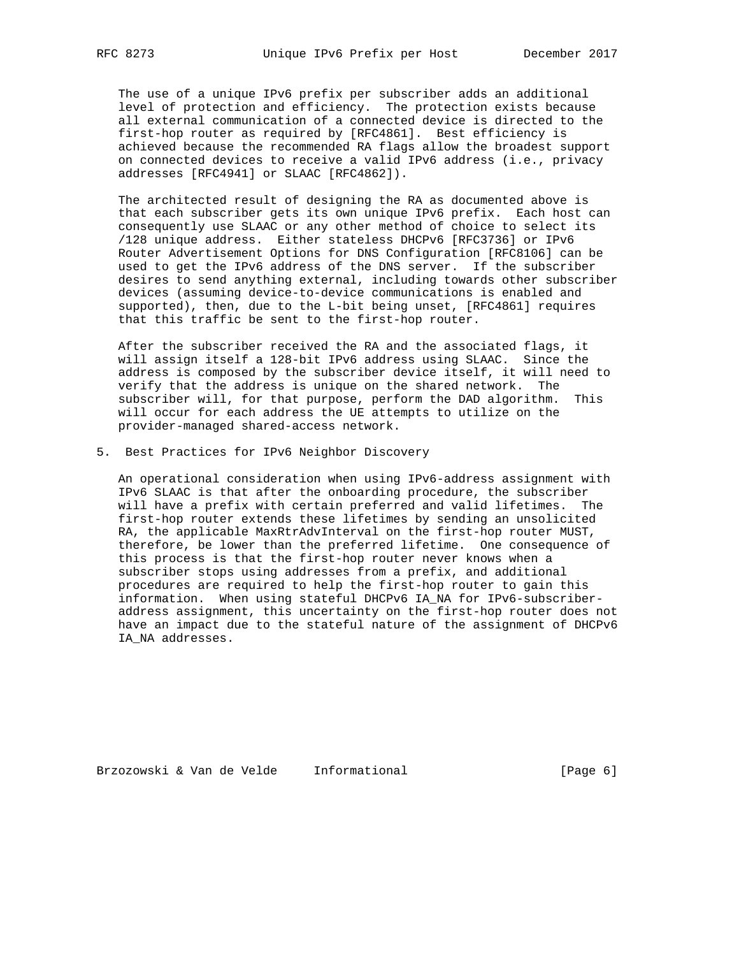The use of a unique IPv6 prefix per subscriber adds an additional level of protection and efficiency. The protection exists because all external communication of a connected device is directed to the first-hop router as required by [RFC4861]. Best efficiency is achieved because the recommended RA flags allow the broadest support on connected devices to receive a valid IPv6 address (i.e., privacy addresses [RFC4941] or SLAAC [RFC4862]).

 The architected result of designing the RA as documented above is that each subscriber gets its own unique IPv6 prefix. Each host can consequently use SLAAC or any other method of choice to select its /128 unique address. Either stateless DHCPv6 [RFC3736] or IPv6 Router Advertisement Options for DNS Configuration [RFC8106] can be used to get the IPv6 address of the DNS server. If the subscriber desires to send anything external, including towards other subscriber devices (assuming device-to-device communications is enabled and supported), then, due to the L-bit being unset, [RFC4861] requires that this traffic be sent to the first-hop router.

 After the subscriber received the RA and the associated flags, it will assign itself a 128-bit IPv6 address using SLAAC. Since the address is composed by the subscriber device itself, it will need to verify that the address is unique on the shared network. The subscriber will, for that purpose, perform the DAD algorithm. This will occur for each address the UE attempts to utilize on the provider-managed shared-access network.

5. Best Practices for IPv6 Neighbor Discovery

 An operational consideration when using IPv6-address assignment with IPv6 SLAAC is that after the onboarding procedure, the subscriber will have a prefix with certain preferred and valid lifetimes. The first-hop router extends these lifetimes by sending an unsolicited RA, the applicable MaxRtrAdvInterval on the first-hop router MUST, therefore, be lower than the preferred lifetime. One consequence of this process is that the first-hop router never knows when a subscriber stops using addresses from a prefix, and additional procedures are required to help the first-hop router to gain this information. When using stateful DHCPv6 IA\_NA for IPv6-subscriber address assignment, this uncertainty on the first-hop router does not have an impact due to the stateful nature of the assignment of DHCPv6 IA\_NA addresses.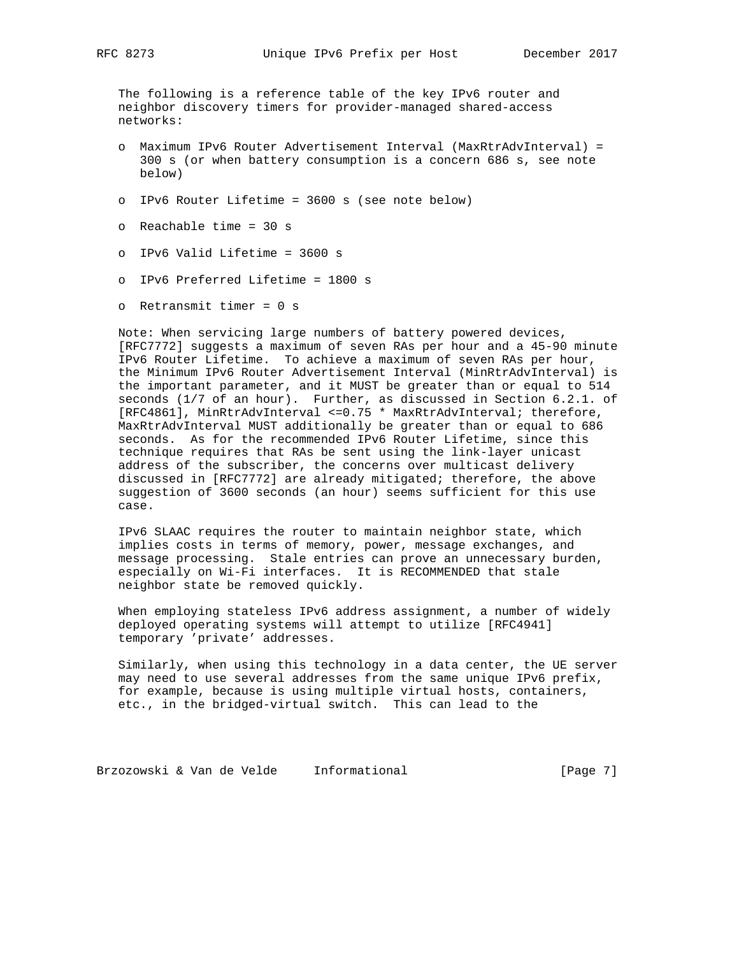The following is a reference table of the key IPv6 router and neighbor discovery timers for provider-managed shared-access networks:

- o Maximum IPv6 Router Advertisement Interval (MaxRtrAdvInterval) = 300 s (or when battery consumption is a concern 686 s, see note below)
- o IPv6 Router Lifetime = 3600 s (see note below)
- o Reachable time = 30 s
- o IPv6 Valid Lifetime = 3600 s
- o IPv6 Preferred Lifetime = 1800 s
- o Retransmit timer = 0 s

 Note: When servicing large numbers of battery powered devices, [RFC7772] suggests a maximum of seven RAs per hour and a 45-90 minute IPv6 Router Lifetime. To achieve a maximum of seven RAs per hour, the Minimum IPv6 Router Advertisement Interval (MinRtrAdvInterval) is the important parameter, and it MUST be greater than or equal to 514 seconds (1/7 of an hour). Further, as discussed in Section 6.2.1. of [RFC4861], MinRtrAdvInterval <=0.75 \* MaxRtrAdvInterval; therefore, MaxRtrAdvInterval MUST additionally be greater than or equal to 686 seconds. As for the recommended IPv6 Router Lifetime, since this technique requires that RAs be sent using the link-layer unicast address of the subscriber, the concerns over multicast delivery discussed in [RFC7772] are already mitigated; therefore, the above suggestion of 3600 seconds (an hour) seems sufficient for this use case.

 IPv6 SLAAC requires the router to maintain neighbor state, which implies costs in terms of memory, power, message exchanges, and message processing. Stale entries can prove an unnecessary burden, especially on Wi-Fi interfaces. It is RECOMMENDED that stale neighbor state be removed quickly.

 When employing stateless IPv6 address assignment, a number of widely deployed operating systems will attempt to utilize [RFC4941] temporary 'private' addresses.

 Similarly, when using this technology in a data center, the UE server may need to use several addresses from the same unique IPv6 prefix, for example, because is using multiple virtual hosts, containers, etc., in the bridged-virtual switch. This can lead to the

Brzozowski & Van de Velde Informational (Page 7)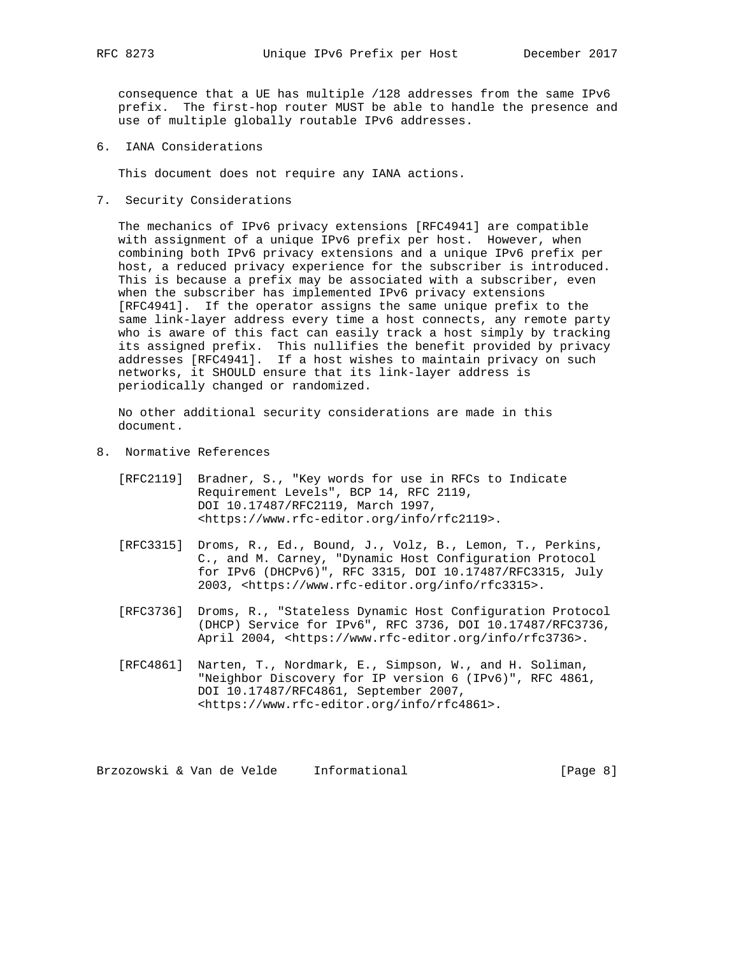consequence that a UE has multiple /128 addresses from the same IPv6 prefix. The first-hop router MUST be able to handle the presence and use of multiple globally routable IPv6 addresses.

6. IANA Considerations

This document does not require any IANA actions.

7. Security Considerations

 The mechanics of IPv6 privacy extensions [RFC4941] are compatible with assignment of a unique IPv6 prefix per host. However, when combining both IPv6 privacy extensions and a unique IPv6 prefix per host, a reduced privacy experience for the subscriber is introduced. This is because a prefix may be associated with a subscriber, even when the subscriber has implemented IPv6 privacy extensions [RFC4941]. If the operator assigns the same unique prefix to the same link-layer address every time a host connects, any remote party who is aware of this fact can easily track a host simply by tracking its assigned prefix. This nullifies the benefit provided by privacy addresses [RFC4941]. If a host wishes to maintain privacy on such networks, it SHOULD ensure that its link-layer address is periodically changed or randomized.

 No other additional security considerations are made in this document.

- 8. Normative References
	- [RFC2119] Bradner, S., "Key words for use in RFCs to Indicate Requirement Levels", BCP 14, RFC 2119, DOI 10.17487/RFC2119, March 1997, <https://www.rfc-editor.org/info/rfc2119>.
	- [RFC3315] Droms, R., Ed., Bound, J., Volz, B., Lemon, T., Perkins, C., and M. Carney, "Dynamic Host Configuration Protocol for IPv6 (DHCPv6)", RFC 3315, DOI 10.17487/RFC3315, July 2003, <https://www.rfc-editor.org/info/rfc3315>.
	- [RFC3736] Droms, R., "Stateless Dynamic Host Configuration Protocol (DHCP) Service for IPv6", RFC 3736, DOI 10.17487/RFC3736, April 2004, <https://www.rfc-editor.org/info/rfc3736>.
	- [RFC4861] Narten, T., Nordmark, E., Simpson, W., and H. Soliman, "Neighbor Discovery for IP version 6 (IPv6)", RFC 4861, DOI 10.17487/RFC4861, September 2007, <https://www.rfc-editor.org/info/rfc4861>.

Brzozowski & Van de Velde Informational (Page 8)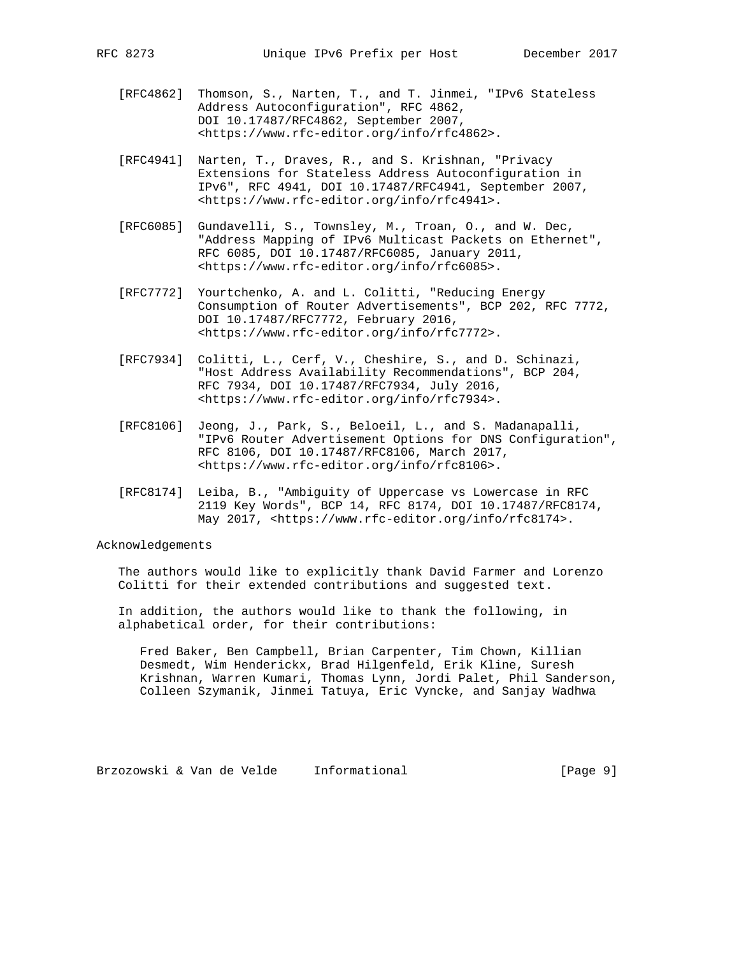- [RFC4862] Thomson, S., Narten, T., and T. Jinmei, "IPv6 Stateless Address Autoconfiguration", RFC 4862, DOI 10.17487/RFC4862, September 2007, <https://www.rfc-editor.org/info/rfc4862>.
- [RFC4941] Narten, T., Draves, R., and S. Krishnan, "Privacy Extensions for Stateless Address Autoconfiguration in IPv6", RFC 4941, DOI 10.17487/RFC4941, September 2007, <https://www.rfc-editor.org/info/rfc4941>.
- [RFC6085] Gundavelli, S., Townsley, M., Troan, O., and W. Dec, "Address Mapping of IPv6 Multicast Packets on Ethernet", RFC 6085, DOI 10.17487/RFC6085, January 2011, <https://www.rfc-editor.org/info/rfc6085>.
- [RFC7772] Yourtchenko, A. and L. Colitti, "Reducing Energy Consumption of Router Advertisements", BCP 202, RFC 7772, DOI 10.17487/RFC7772, February 2016, <https://www.rfc-editor.org/info/rfc7772>.
- [RFC7934] Colitti, L., Cerf, V., Cheshire, S., and D. Schinazi, "Host Address Availability Recommendations", BCP 204, RFC 7934, DOI 10.17487/RFC7934, July 2016, <https://www.rfc-editor.org/info/rfc7934>.
- [RFC8106] Jeong, J., Park, S., Beloeil, L., and S. Madanapalli, "IPv6 Router Advertisement Options for DNS Configuration", RFC 8106, DOI 10.17487/RFC8106, March 2017, <https://www.rfc-editor.org/info/rfc8106>.
- [RFC8174] Leiba, B., "Ambiguity of Uppercase vs Lowercase in RFC 2119 Key Words", BCP 14, RFC 8174, DOI 10.17487/RFC8174, May 2017, <https://www.rfc-editor.org/info/rfc8174>.

# Acknowledgements

 The authors would like to explicitly thank David Farmer and Lorenzo Colitti for their extended contributions and suggested text.

 In addition, the authors would like to thank the following, in alphabetical order, for their contributions:

 Fred Baker, Ben Campbell, Brian Carpenter, Tim Chown, Killian Desmedt, Wim Henderickx, Brad Hilgenfeld, Erik Kline, Suresh Krishnan, Warren Kumari, Thomas Lynn, Jordi Palet, Phil Sanderson, Colleen Szymanik, Jinmei Tatuya, Eric Vyncke, and Sanjay Wadhwa

Brzozowski & Van de Velde Informational (Page 9)